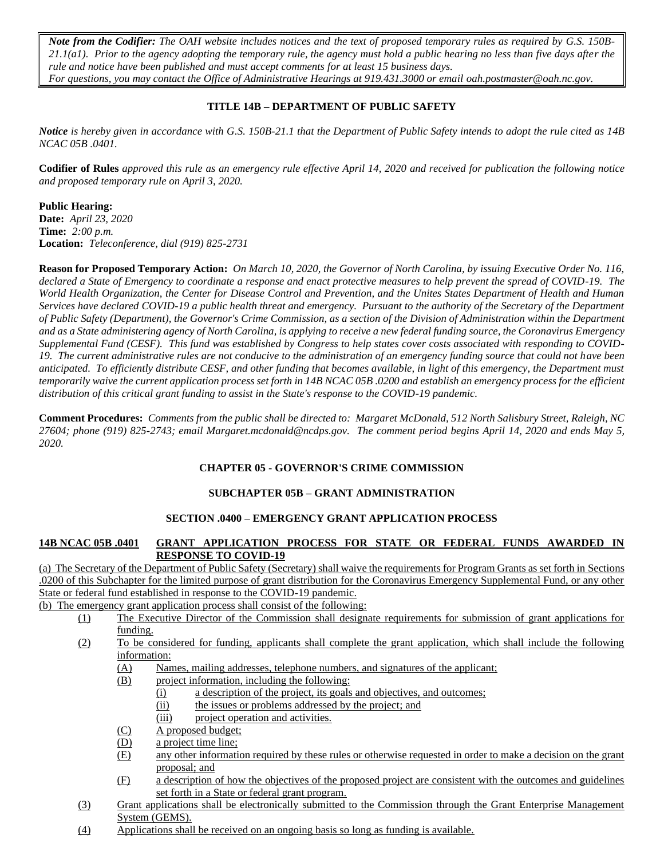*Note from the Codifier: The OAH website includes notices and the text of proposed temporary rules as required by G.S. 150B-21.1(a1). Prior to the agency adopting the temporary rule, the agency must hold a public hearing no less than five days after the rule and notice have been published and must accept comments for at least 15 business days. For questions, you may contact the Office of Administrative Hearings at 919.431.3000 or email [oah.postmaster@o](mailto:oah.postmaster@ncmail.net)ah.nc.gov.*

## **TITLE 14B – DEPARTMENT OF PUBLIC SAFETY**

*Notice is hereby given in accordance with G.S. 150B-21.1 that the Department of Public Safety intends to adopt the rule cited as 14B NCAC 05B .0401.*

**Codifier of Rules** *approved this rule as an emergency rule effective April 14, 2020 and received for publication the following notice and proposed temporary rule on April 3, 2020.*

#### **Public Hearing:**

**Date:** *April 23, 2020* **Time:** *2:00 p.m.* **Location:** *Teleconference, dial (919) 825-2731*

**Reason for Proposed Temporary Action:** *On March 10, 2020, the Governor of North Carolina, by issuing Executive Order No. 116, declared a State of Emergency to coordinate a response and enact protective measures to help prevent the spread of COVID-19. The World Health Organization, the Center for Disease Control and Prevention, and the Unites States Department of Health and Human Services have declared COVID-19 a public health threat and emergency. Pursuant to the authority of the Secretary of the Department of Public Safety (Department), the Governor's Crime Commission, as a section of the Division of Administration within the Department and as a State administering agency of North Carolina, is applying to receive a new federal funding source, the Coronavirus Emergency Supplemental Fund (CESF). This fund was established by Congress to help states cover costs associated with responding to COVID-19. The current administrative rules are not conducive to the administration of an emergency funding source that could not have been anticipated. To efficiently distribute CESF, and other funding that becomes available, in light of this emergency, the Department must temporarily waive the current application process set forth in 14B NCAC 05B .0200 and establish an emergency process for the efficient distribution of this critical grant funding to assist in the State's response to the COVID-19 pandemic.*

**Comment Procedures:** *Comments from the public shall be directed to: Margaret McDonald, 512 North Salisbury Street, Raleigh, NC 27604; phone (919) 825-2743; email Margaret.mcdonald@ncdps.gov. The comment period begins April 14, 2020 and ends May 5, 2020.*

### **CHAPTER 05 - GOVERNOR'S CRIME COMMISSION**

#### **SUBCHAPTER 05B – GRANT ADMINISTRATION**

## **SECTION .0400 – EMERGENCY GRANT APPLICATION PROCESS**

#### **14B NCAC 05B .0401 GRANT APPLICATION PROCESS FOR STATE OR FEDERAL FUNDS AWARDED IN RESPONSE TO COVID-19**

(a) The Secretary of the Department of Public Safety (Secretary) shall waive the requirements for Program Grants as set forth in Sections .0200 of this Subchapter for the limited purpose of grant distribution for the Coronavirus Emergency Supplemental Fund, or any other State or federal fund established in response to the COVID-19 pandemic.

# (b) The emergency grant application process shall consist of the following:

- (1) The Executive Director of the Commission shall designate requirements for submission of grant applications for funding.
- (2) To be considered for funding, applicants shall complete the grant application, which shall include the following information:
	- (A) Names, mailing addresses, telephone numbers, and signatures of the applicant;
	- (B) project information, including the following:
		- (i) a description of the project, its goals and objectives, and outcomes;
		- (ii) the issues or problems addressed by the project; and
		- (iii) project operation and activities.
	- (C) A proposed budget;
	- (D) a project time line;
	- (E) any other information required by these rules or otherwise requested in order to make a decision on the grant proposal; and
	- (F) a description of how the objectives of the proposed project are consistent with the outcomes and guidelines set forth in a State or federal grant program.
- (3) Grant applications shall be electronically submitted to the Commission through the Grant Enterprise Management System (GEMS).
- (4) Applications shall be received on an ongoing basis so long as funding is available.